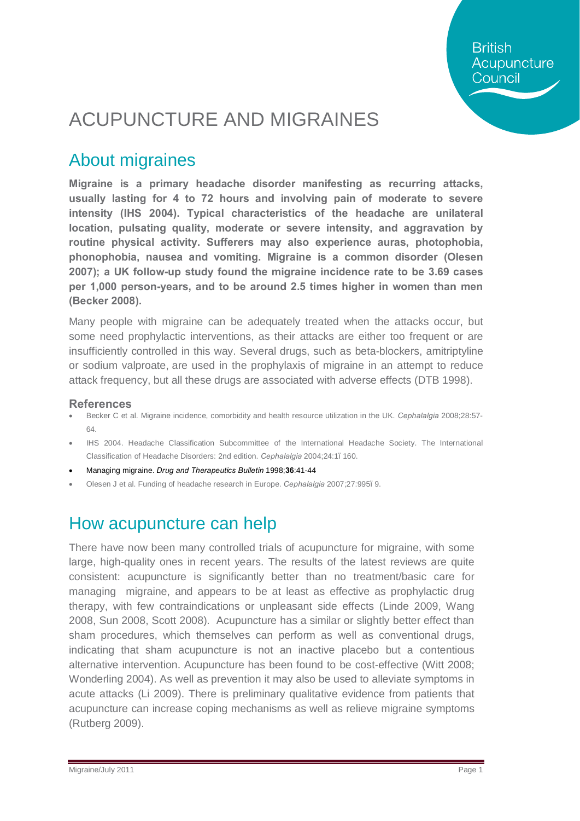**British** Acupuncture Council

# ACUPUNCTURE AND MIGRAINES

### About migraines

**Migraine is a primary headache disorder manifesting as recurring attacks, usually lasting for 4 to 72 hours and involving pain of moderate to severe intensity (IHS 2004). Typical characteristics of the headache are unilateral location, pulsating quality, moderate or severe intensity, and aggravation by routine physical activity. Sufferers may also experience auras, photophobia, phonophobia, nausea and vomiting. Migraine is a common disorder (Olesen 2007); a UK follow-up study found the migraine incidence rate to be 3.69 cases per 1,000 person-years, and to be around 2.5 times higher in women than men (Becker 2008).** 

Many people with migraine can be adequately treated when the attacks occur, but some need prophylactic interventions, as their attacks are either too frequent or are insufficiently controlled in this way. Several drugs, such as beta-blockers, amitriptyline or sodium valproate, are used in the prophylaxis of migraine in an attempt to reduce attack frequency, but all these drugs are associated with adverse effects (DTB 1998).

#### **References**

- · Becker C et al. Migraine incidence, comorbidity and health resource utilization in the UK. *Cephalalgia* 2008;28:57- 64.
- IHS 2004. Headache Classification Subcommittee of the International Headache Society. The International Classification of Headache Disorders: 2nd edition. *Cephalalgia* 2004;24:1–160.
- · Managing migraine. *Drug and Therapeutics Bulletin* 1998;**36**:41-44
- · Olesen J et al. Funding of headache research in Europe. *Cephalalgia* 2007;27:995–9.

### How acupuncture can help

There have now been many controlled trials of acupuncture for migraine, with some large, high-quality ones in recent years. The results of the latest reviews are quite consistent: acupuncture is significantly better than no treatment/basic care for managing migraine, and appears to be at least as effective as prophylactic drug therapy, with few contraindications or unpleasant side effects (Linde 2009, Wang 2008, Sun 2008, Scott 2008). Acupuncture has a similar or slightly better effect than sham procedures, which themselves can perform as well as conventional drugs, indicating that sham acupuncture is not an inactive placebo but a contentious alternative intervention. Acupuncture has been found to be cost-effective (Witt 2008; Wonderling 2004). As well as prevention it may also be used to alleviate symptoms in acute attacks (Li 2009). There is preliminary qualitative evidence from patients that acupuncture can increase coping mechanisms as well as relieve migraine symptoms (Rutberg 2009).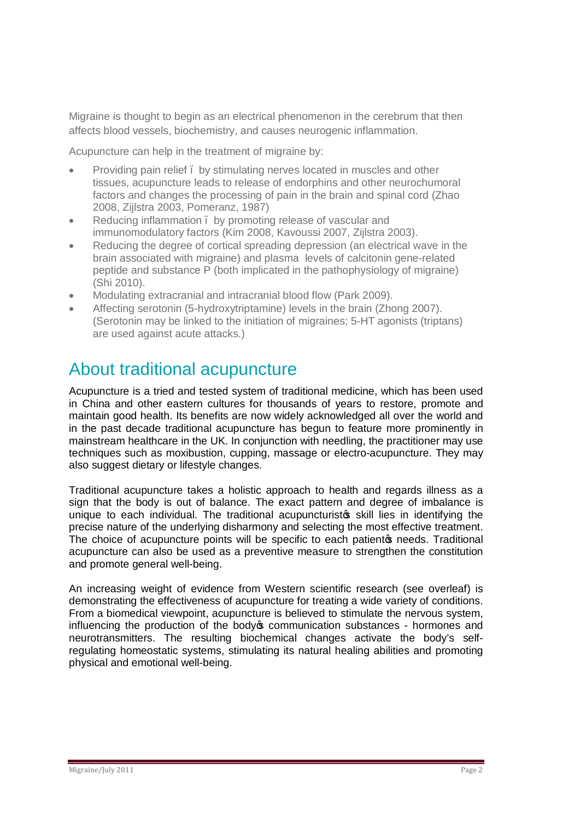Migraine is thought to begin as an electrical phenomenon in the cerebrum that then affects blood vessels, biochemistry, and causes neurogenic inflammation.

Acupuncture can help in the treatment of migraine by:

- Providing pain relief . by stimulating nerves located in muscles and other tissues, acupuncture leads to release of endorphins and other neurochumoral factors and changes the processing of pain in the brain and spinal cord (Zhao 2008, Zijlstra 2003, Pomeranz, 1987)
- Reducing inflammation, by promoting release of vascular and immunomodulatory factors (Kim 2008, Kavoussi 2007, Zijlstra 2003).
- Reducing the degree of cortical spreading depression (an electrical wave in the brain associated with migraine) and plasma levels of calcitonin gene-related peptide and substance P (both implicated in the pathophysiology of migraine) (Shi 2010).
- · Modulating extracranial and intracranial blood flow (Park 2009).
- Affecting serotonin (5-hydroxytriptamine) levels in the brain (Zhong 2007). (Serotonin may be linked to the initiation of migraines; 5-HT agonists (triptans) are used against acute attacks.)

### About traditional acupuncture

Acupuncture is a tried and tested system of traditional medicine, which has been used in China and other eastern cultures for thousands of years to restore, promote and maintain good health. Its benefits are now widely acknowledged all over the world and in the past decade traditional acupuncture has begun to feature more prominently in mainstream healthcare in the UK. In conjunction with needling, the practitioner may use techniques such as moxibustion, cupping, massage or electro-acupuncture. They may also suggest dietary or lifestyle changes.

Traditional acupuncture takes a holistic approach to health and regards illness as a sign that the body is out of balance. The exact pattern and degree of imbalance is unique to each individual. The traditional acupuncturisto skill lies in identifying the precise nature of the underlying disharmony and selecting the most effective treatment. The choice of acupuncture points will be specific to each patient opeeds. Traditional acupuncture can also be used as a preventive measure to strengthen the constitution and promote general well-being.

An increasing weight of evidence from Western scientific research (see overleaf) is demonstrating the effectiveness of acupuncture for treating a wide variety of conditions. From a biomedical viewpoint, acupuncture is believed to stimulate the nervous system, influencing the production of the body to communication substances - hormones and neurotransmitters. The resulting biochemical changes activate the body's selfregulating homeostatic systems, stimulating its natural healing abilities and promoting physical and emotional well-being.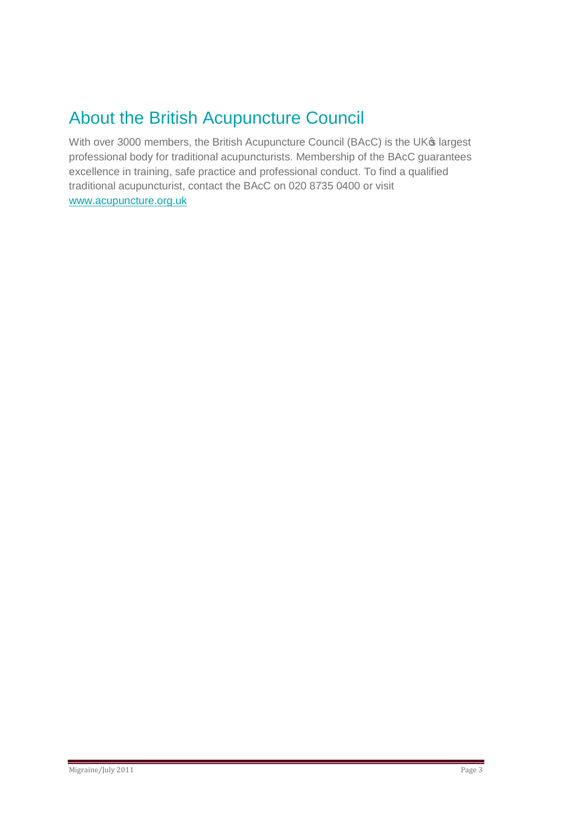## About the British Acupuncture Council

With over 3000 members, the British Acupuncture Council (BAcC) is the UK® largest professional body for traditional acupuncturists. Membership of the BAcC guarantees excellence in training, safe practice and professional conduct. To find a qualified traditional acupuncturist, contact the BAcC on 020 8735 0400 or visit www.acupuncture.org.uk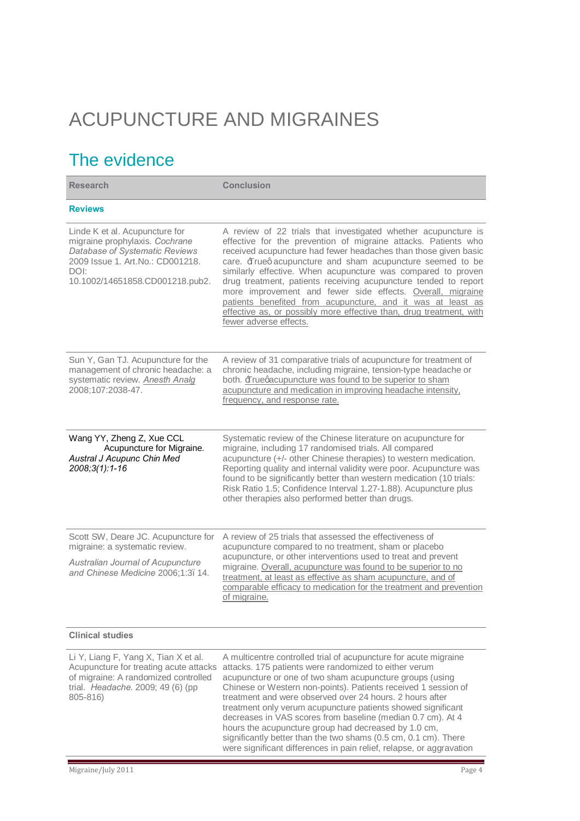# ACUPUNCTURE AND MIGRAINES

## The evidence

| <b>Research</b>                                                                                                                                                                   | <b>Conclusion</b>                                                                                                                                                                                                                                                                                                                                                                                                                                                                                                                                                                                                                 |
|-----------------------------------------------------------------------------------------------------------------------------------------------------------------------------------|-----------------------------------------------------------------------------------------------------------------------------------------------------------------------------------------------------------------------------------------------------------------------------------------------------------------------------------------------------------------------------------------------------------------------------------------------------------------------------------------------------------------------------------------------------------------------------------------------------------------------------------|
| <b>Reviews</b>                                                                                                                                                                    |                                                                                                                                                                                                                                                                                                                                                                                                                                                                                                                                                                                                                                   |
| Linde K et al. Acupuncture for<br>migraine prophylaxis. Cochrane<br>Database of Systematic Reviews<br>2009 Issue 1. Art.No.: CD001218.<br>DOI:<br>10.1002/14651858.CD001218.pub2. | A review of 22 trials that investigated whether acupuncture is<br>effective for the prevention of migraine attacks. Patients who<br>received acupuncture had fewer headaches than those given basic<br>care. Frueq acupuncture and sham acupuncture seemed to be<br>similarly effective. When acupuncture was compared to proven<br>drug treatment, patients receiving acupuncture tended to report<br>more improvement and fewer side effects. Overall, migraine<br>patients benefited from acupuncture, and it was at least as<br>effective as, or possibly more effective than, drug treatment, with<br>fewer adverse effects. |
| Sun Y, Gan TJ. Acupuncture for the<br>management of chronic headache: a<br>systematic review. <b>Anesth Analg</b><br>2008;107:2038-47.                                            | A review of 31 comparative trials of acupuncture for treatment of<br>chronic headache, including migraine, tension-type headache or<br>both. Fruegacupuncture was found to be superior to sham<br>acupuncture and medication in improving headache intensity,<br>frequency, and response rate.                                                                                                                                                                                                                                                                                                                                    |
| Wang YY, Zheng Z, Xue CCL<br>Acupuncture for Migraine.<br>Austral J Acupunc Chin Med<br>2008;3(1):1-16                                                                            | Systematic review of the Chinese literature on acupuncture for<br>migraine, including 17 randomised trials. All compared<br>acupuncture (+/- other Chinese therapies) to western medication.<br>Reporting quality and internal validity were poor. Acupuncture was<br>found to be significantly better than western medication (10 trials:<br>Risk Ratio 1.5; Confidence Interval 1.27-1.88). Acupuncture plus<br>other therapies also performed better than drugs.                                                                                                                                                               |
| Scott SW, Deare JC. Acupuncture for<br>migraine: a systematic review.<br>Australian Journal of Acupuncture<br>and Chinese Medicine 2006;1:3. 14.                                  | A review of 25 trials that assessed the effectiveness of<br>acupuncture compared to no treatment, sham or placebo<br>acupuncture, or other interventions used to treat and prevent<br>migraine. Overall, acupuncture was found to be superior to no<br>treatment, at least as effective as sham acupuncture, and of<br>comparable efficacy to medication for the treatment and prevention<br>of migraine.                                                                                                                                                                                                                         |
| <b>Clinical studies</b>                                                                                                                                                           |                                                                                                                                                                                                                                                                                                                                                                                                                                                                                                                                                                                                                                   |
| Li Y, Liang F, Yang X, Tian X et al.<br>Acupuncture for treating acute attacks<br>of migraine: A randomized controlled<br>trial. Headache. 2009; 49 (6) (pp<br>805-816)           | A multicentre controlled trial of acupuncture for acute migraine<br>attacks. 175 patients were randomized to either verum<br>acupuncture or one of two sham acupuncture groups (using<br>Chinese or Western non-points). Patients received 1 session of<br>treatment and were observed over 24 hours. 2 hours after<br>treatment only verum acupuncture patients showed significant<br>decreases in VAS scores from baseline (median 0.7 cm). At 4                                                                                                                                                                                |

hours the acupuncture group had decreased by 1.0 cm, significantly better than the two shams (0.5 cm, 0.1 cm). There were significant differences in pain relief, relapse, or aggravation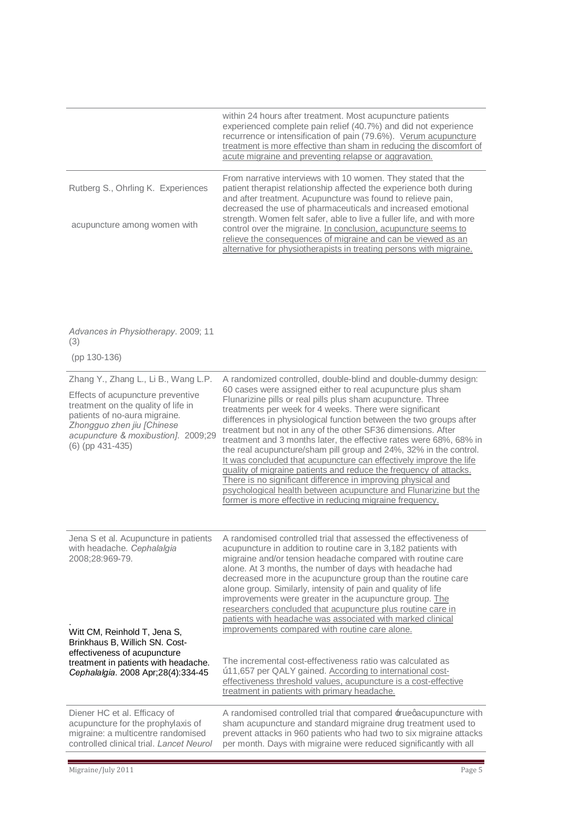|                                                                                                                                                                                                                                              | within 24 hours after treatment. Most acupuncture patients<br>experienced complete pain relief (40.7%) and did not experience<br>recurrence or intensification of pain (79.6%). Verum acupuncture<br>treatment is more effective than sham in reducing the discomfort of<br>acute migraine and preventing relapse or aggravation.                                                                                                                                                                                                                                                                                                                                                                                                                                                                                                                                                    |
|----------------------------------------------------------------------------------------------------------------------------------------------------------------------------------------------------------------------------------------------|--------------------------------------------------------------------------------------------------------------------------------------------------------------------------------------------------------------------------------------------------------------------------------------------------------------------------------------------------------------------------------------------------------------------------------------------------------------------------------------------------------------------------------------------------------------------------------------------------------------------------------------------------------------------------------------------------------------------------------------------------------------------------------------------------------------------------------------------------------------------------------------|
| Rutberg S., Ohrling K. Experiences<br>acupuncture among women with                                                                                                                                                                           | From narrative interviews with 10 women. They stated that the<br>patient therapist relationship affected the experience both during<br>and after treatment. Acupuncture was found to relieve pain,<br>decreased the use of pharmaceuticals and increased emotional<br>strength. Women felt safer, able to live a fuller life, and with more<br>control over the migraine. In conclusion, acupuncture seems to<br>relieve the consequences of migraine and can be viewed as an<br>alternative for physiotherapists in treating persons with migraine.                                                                                                                                                                                                                                                                                                                                 |
| Advances in Physiotherapy. 2009; 11<br>(3)<br>(pp 130-136)                                                                                                                                                                                   |                                                                                                                                                                                                                                                                                                                                                                                                                                                                                                                                                                                                                                                                                                                                                                                                                                                                                      |
| Zhang Y., Zhang L., Li B., Wang L.P.<br>Effects of acupuncture preventive<br>treatment on the quality of life in<br>patients of no-aura migraine.<br>Zhongguo zhen jiu [Chinese<br>acupuncture & moxibustion]. 2009;29<br>$(6)$ (pp 431-435) | A randomized controlled, double-blind and double-dummy design:<br>60 cases were assigned either to real acupuncture plus sham<br>Flunarizine pills or real pills plus sham acupuncture. Three<br>treatments per week for 4 weeks. There were significant<br>differences in physiological function between the two groups after<br>treatment but not in any of the other SF36 dimensions. After<br>treatment and 3 months later, the effective rates were 68%, 68% in<br>the real acupuncture/sham pill group and 24%, 32% in the control.<br>It was concluded that acupuncture can effectively improve the life<br>quality of migraine patients and reduce the frequency of attacks.<br>There is no significant difference in improving physical and<br>psychological health between acupuncture and Flunarizine but the<br>former is more effective in reducing migraine frequency. |
| Jena S et al. Acupuncture in patients<br>with headache. Cephalalgia<br>2008;28:969-79.<br>Witt CM, Reinhold T, Jena S,<br>Brinkhaus B, Willich SN. Cost-                                                                                     | A randomised controlled trial that assessed the effectiveness of<br>acupuncture in addition to routine care in 3,182 patients with<br>migraine and/or tension headache compared with routine care<br>alone. At 3 months, the number of days with headache had<br>decreased more in the acupuncture group than the routine care<br>alone group. Similarly, intensity of pain and quality of life<br>improvements were greater in the acupuncture group. The<br>researchers concluded that acupuncture plus routine care in<br>patients with headache was associated with marked clinical<br>improvements compared with routine care alone.                                                                                                                                                                                                                                            |
| effectiveness of acupuncture<br>treatment in patients with headache.<br>Cephalalgia. 2008 Apr;28(4):334-45                                                                                                                                   | The incremental cost-effectiveness ratio was calculated as<br>"11,657 per QALY gained. According to international cost-<br>effectiveness threshold values, acupuncture is a cost-effective<br>treatment in patients with primary headache.                                                                                                                                                                                                                                                                                                                                                                                                                                                                                                                                                                                                                                           |
| Diener HC et al. Efficacy of<br>acupuncture for the prophylaxis of<br>migraine: a multicentre randomised<br>controlled clinical trial. Lancet Neurol                                                                                         | A randomised controlled trial that compared ±rueqacupuncture with<br>sham acupuncture and standard migraine drug treatment used to<br>prevent attacks in 960 patients who had two to six migraine attacks<br>per month. Days with migraine were reduced significantly with all                                                                                                                                                                                                                                                                                                                                                                                                                                                                                                                                                                                                       |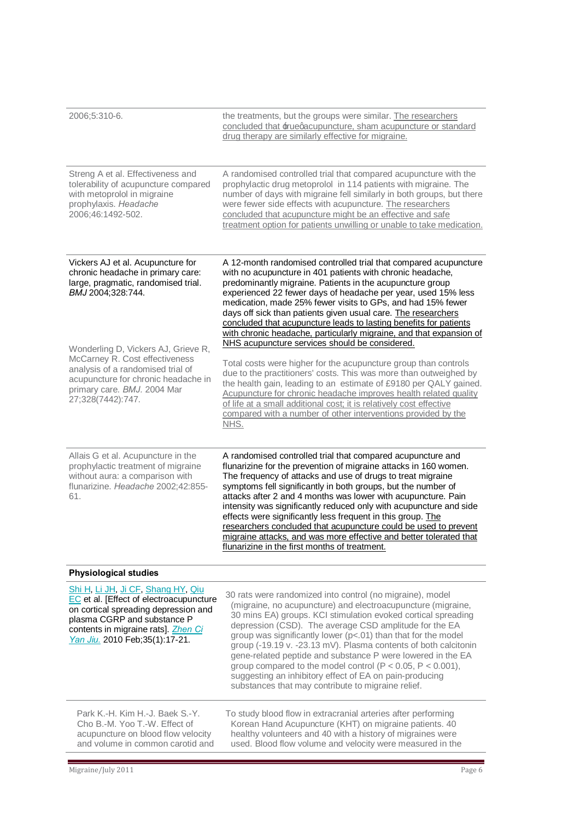| 2006;5:310-6.                                                                                                                                                                                                                   | the treatments, but the groups were similar. The researchers<br>concluded that ±ruegacupuncture, sham acupuncture or standard<br>drug therapy are similarly effective for migraine.                                                                                                                                                                                                                                                                                                                                                                                                                                                                             |
|---------------------------------------------------------------------------------------------------------------------------------------------------------------------------------------------------------------------------------|-----------------------------------------------------------------------------------------------------------------------------------------------------------------------------------------------------------------------------------------------------------------------------------------------------------------------------------------------------------------------------------------------------------------------------------------------------------------------------------------------------------------------------------------------------------------------------------------------------------------------------------------------------------------|
| Streng A et al. Effectiveness and<br>tolerability of acupuncture compared<br>with metoprolol in migraine<br>prophylaxis. Headache<br>2006;46:1492-502.                                                                          | A randomised controlled trial that compared acupuncture with the<br>prophylactic drug metoprolol in 114 patients with migraine. The<br>number of days with migraine fell similarly in both groups, but there<br>were fewer side effects with acupuncture. The researchers<br>concluded that acupuncture might be an effective and safe<br>treatment option for patients unwilling or unable to take medication.                                                                                                                                                                                                                                                 |
| Vickers AJ et al. Acupuncture for<br>chronic headache in primary care:<br>large, pragmatic, randomised trial.<br>BMJ 2004;328:744.<br>Wonderling D, Vickers AJ, Grieve R,                                                       | A 12-month randomised controlled trial that compared acupuncture<br>with no acupuncture in 401 patients with chronic headache,<br>predominantly migraine. Patients in the acupuncture group<br>experienced 22 fewer days of headache per year, used 15% less<br>medication, made 25% fewer visits to GPs, and had 15% fewer<br>days off sick than patients given usual care. The researchers<br>concluded that acupuncture leads to lasting benefits for patients<br>with chronic headache, particularly migraine, and that expansion of<br>NHS acupuncture services should be considered.                                                                      |
| McCarney R. Cost effectiveness<br>analysis of a randomised trial of<br>acupuncture for chronic headache in<br>primary care. BMJ. 2004 Mar<br>27;328(7442):747.                                                                  | Total costs were higher for the acupuncture group than controls<br>due to the practitioners' costs. This was more than outweighed by<br>the health gain, leading to an estimate of £9180 per QALY gained.<br>Acupuncture for chronic headache improves health related quality<br>of life at a small additional cost; it is relatively cost effective<br>compared with a number of other interventions provided by the<br>NHS.                                                                                                                                                                                                                                   |
| Allais G et al. Acupuncture in the<br>prophylactic treatment of migraine<br>without aura: a comparison with<br>flunarizine. Headache 2002;42:855-<br>61.                                                                        | A randomised controlled trial that compared acupuncture and<br>flunarizine for the prevention of migraine attacks in 160 women.<br>The frequency of attacks and use of drugs to treat migraine<br>symptoms fell significantly in both groups, but the number of<br>attacks after 2 and 4 months was lower with acupuncture. Pain<br>intensity was significantly reduced only with acupuncture and side<br>effects were significantly less frequent in this group. The<br>researchers concluded that acupuncture could be used to prevent<br>migraine attacks, and was more effective and better tolerated that<br>flunarizine in the first months of treatment. |
| <b>Physiological studies</b>                                                                                                                                                                                                    |                                                                                                                                                                                                                                                                                                                                                                                                                                                                                                                                                                                                                                                                 |
| Shi H, Li JH, Ji CF, Shang HY, Qiu<br>EC et al. [Effect of electroacupuncture<br>on cortical spreading depression and<br>plasma CGRP and substance P<br>contents in migraine rats]. Zhen Ci<br>Yan Jiu. 2010 Feb; 35(1): 17-21. | 30 rats were randomized into control (no migraine), model<br>(migraine, no acupuncture) and electroacupuncture (migraine,<br>30 mins EA) groups. KCI stimulation evoked cortical spreading<br>depression (CSD). The average CSD amplitude for the EA<br>group was significantly lower (p<.01) than that for the model<br>group (-19.19 v. -23.13 mV). Plasma contents of both calcitonin<br>gene-related peptide and substance P were lowered in the EA<br>group compared to the model control ( $P < 0.05$ , $P < 0.001$ ),<br>suggesting an inhibitory effect of EA on pain-producing<br>substances that may contribute to migraine relief.                   |
| Park K.-H. Kim H.-J. Baek S.-Y.<br>Cho B.-M. Yoo T.-W. Effect of<br>acupuncture on blood flow velocity<br>and volume in common carotid and                                                                                      | To study blood flow in extracranial arteries after performing<br>Korean Hand Acupuncture (KHT) on migraine patients. 40<br>healthy volunteers and 40 with a history of migraines were<br>used. Blood flow volume and velocity were measured in the                                                                                                                                                                                                                                                                                                                                                                                                              |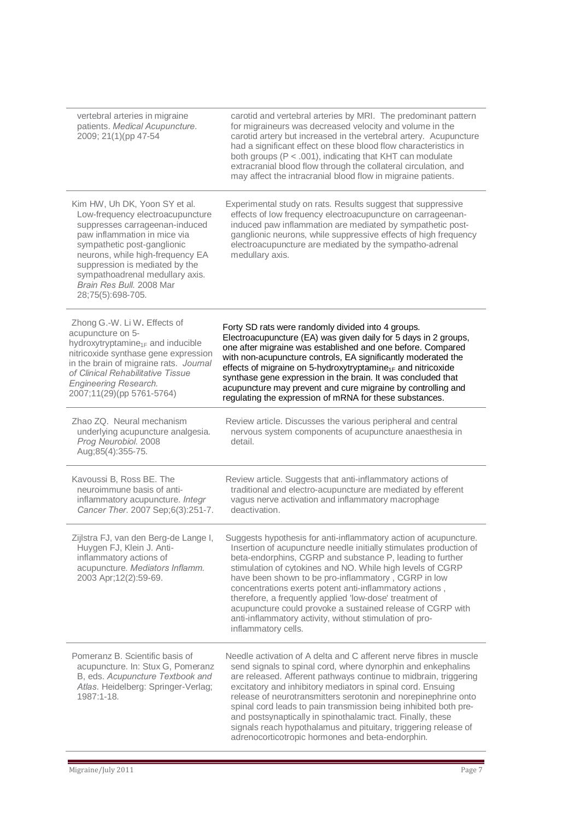| vertebral arteries in migraine<br>patients. Medical Acupuncture.<br>2009; 21(1)(pp 47-54                                                                                                                                                                                                                                     | carotid and vertebral arteries by MRI. The predominant pattern<br>for migraineurs was decreased velocity and volume in the<br>carotid artery but increased in the vertebral artery. Acupuncture<br>had a significant effect on these blood flow characteristics in<br>both groups (P < .001), indicating that KHT can modulate<br>extracranial blood flow through the collateral circulation, and<br>may affect the intracranial blood flow in migraine patients.                                                                                                                                 |
|------------------------------------------------------------------------------------------------------------------------------------------------------------------------------------------------------------------------------------------------------------------------------------------------------------------------------|---------------------------------------------------------------------------------------------------------------------------------------------------------------------------------------------------------------------------------------------------------------------------------------------------------------------------------------------------------------------------------------------------------------------------------------------------------------------------------------------------------------------------------------------------------------------------------------------------|
| Kim HW, Uh DK, Yoon SY et al.<br>Low-frequency electroacupuncture<br>suppresses carrageenan-induced<br>paw inflammation in mice via<br>sympathetic post-ganglionic<br>neurons, while high-frequency EA<br>suppression is mediated by the<br>sympathoadrenal medullary axis.<br>Brain Res Bull. 2008 Mar<br>28;75(5):698-705. | Experimental study on rats. Results suggest that suppressive<br>effects of low frequency electroacupuncture on carrageenan-<br>induced paw inflammation are mediated by sympathetic post-<br>ganglionic neurons, while suppressive effects of high frequency<br>electroacupuncture are mediated by the sympatho-adrenal<br>medullary axis.                                                                                                                                                                                                                                                        |
| Zhong G.-W. Li W. Effects of<br>acupuncture on 5-<br>hydroxytryptamine <sub>1F</sub> and inducible<br>nitricoxide synthase gene expression<br>in the brain of migraine rats. Journal<br>of Clinical Rehabilitative Tissue<br><b>Engineering Research.</b><br>2007;11(29)(pp 5761-5764)                                       | Forty SD rats were randomly divided into 4 groups.<br>Electroacupuncture (EA) was given daily for 5 days in 2 groups,<br>one after migraine was established and one before. Compared<br>with non-acupuncture controls, EA significantly moderated the<br>effects of migraine on 5-hydroxytryptamine <sub>1F</sub> and nitricoxide<br>synthase gene expression in the brain. It was concluded that<br>acupuncture may prevent and cure migraine by controlling and<br>regulating the expression of mRNA for these substances.                                                                      |
| Zhao ZQ. Neural mechanism<br>underlying acupuncture analgesia.<br>Prog Neurobiol. 2008<br>Aug;85(4):355-75.                                                                                                                                                                                                                  | Review article. Discusses the various peripheral and central<br>nervous system components of acupuncture anaesthesia in<br>detail.                                                                                                                                                                                                                                                                                                                                                                                                                                                                |
| Kavoussi B, Ross BE. The<br>neuroimmune basis of anti-<br>inflammatory acupuncture. Integr<br>Cancer Ther. 2007 Sep;6(3):251-7.                                                                                                                                                                                              | Review article. Suggests that anti-inflammatory actions of<br>traditional and electro-acupuncture are mediated by efferent<br>vagus nerve activation and inflammatory macrophage<br>deactivation.                                                                                                                                                                                                                                                                                                                                                                                                 |
| Zijlstra FJ, van den Berg-de Lange I,<br>Huygen FJ, Klein J. Anti-<br>inflammatory actions of<br>acupuncture. Mediators Inflamm.<br>2003 Apr;12(2):59-69.                                                                                                                                                                    | Suggests hypothesis for anti-inflammatory action of acupuncture.<br>Insertion of acupuncture needle initially stimulates production of<br>beta-endorphins, CGRP and substance P, leading to further<br>stimulation of cytokines and NO. While high levels of CGRP<br>have been shown to be pro-inflammatory, CGRP in low<br>concentrations exerts potent anti-inflammatory actions,<br>therefore, a frequently applied 'low-dose' treatment of<br>acupuncture could provoke a sustained release of CGRP with<br>anti-inflammatory activity, without stimulation of pro-<br>inflammatory cells.    |
| Pomeranz B. Scientific basis of<br>acupuncture. In: Stux G, Pomeranz<br>B, eds. Acupuncture Textbook and<br>Atlas. Heidelberg: Springer-Verlag;<br>1987:1-18.                                                                                                                                                                | Needle activation of A delta and C afferent nerve fibres in muscle<br>send signals to spinal cord, where dynorphin and enkephalins<br>are released. Afferent pathways continue to midbrain, triggering<br>excitatory and inhibitory mediators in spinal cord. Ensuing<br>release of neurotransmitters serotonin and norepinephrine onto<br>spinal cord leads to pain transmission being inhibited both pre-<br>and postsynaptically in spinothalamic tract. Finally, these<br>signals reach hypothalamus and pituitary, triggering release of<br>adrenocorticotropic hormones and beta-endorphin. |